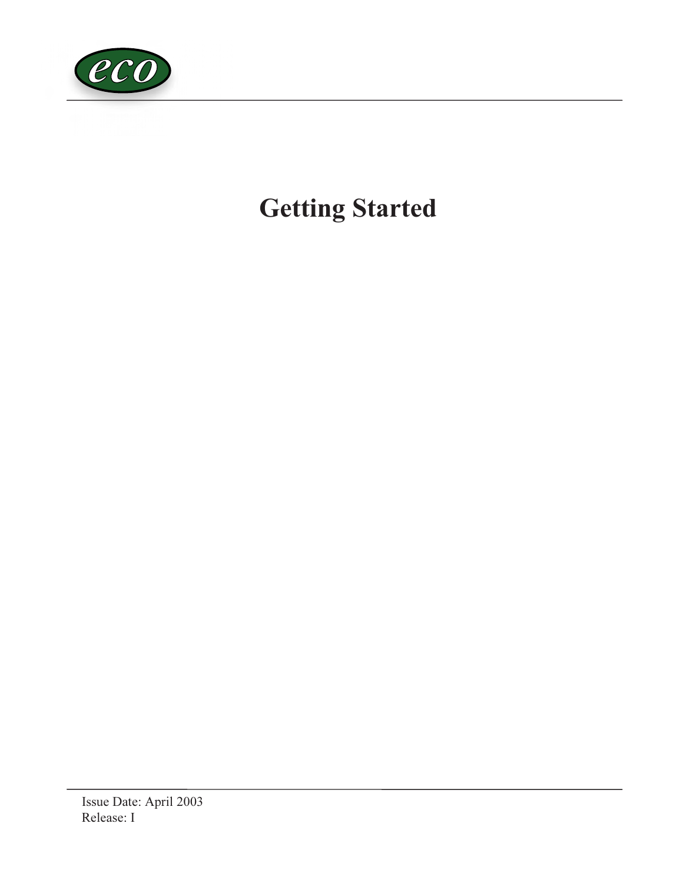

## Getting Started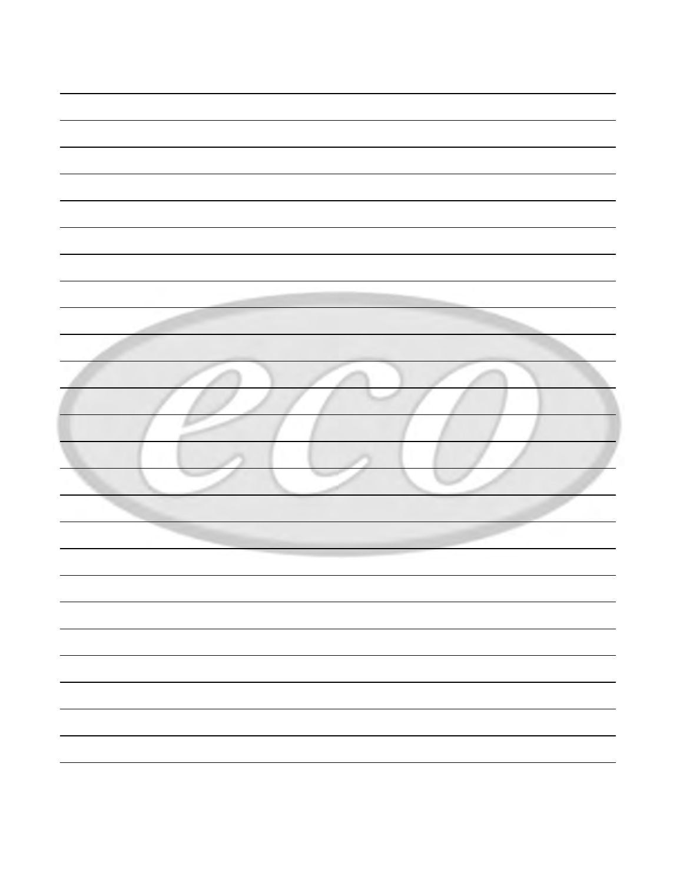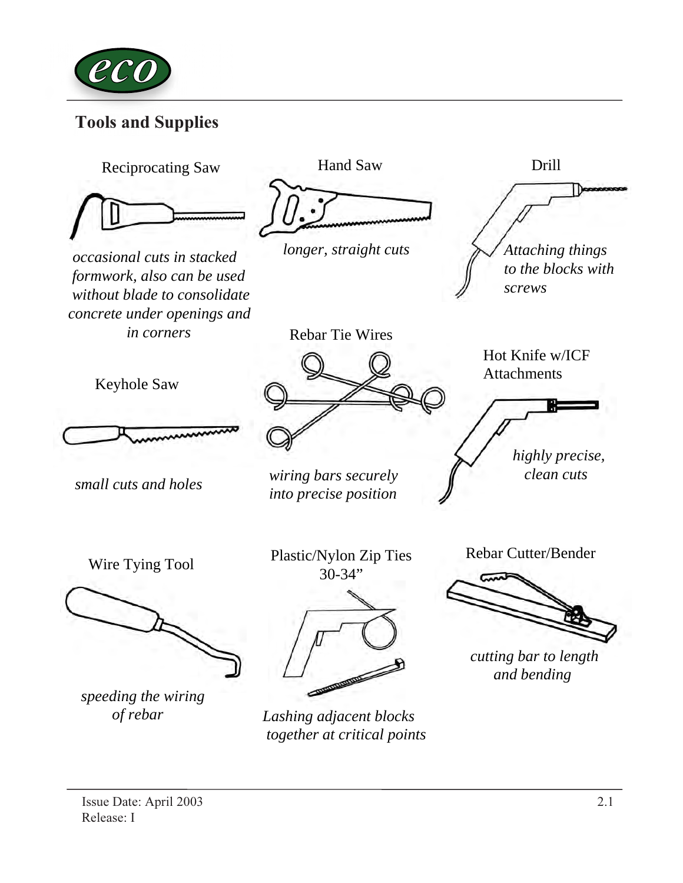

## Tools and Supplies